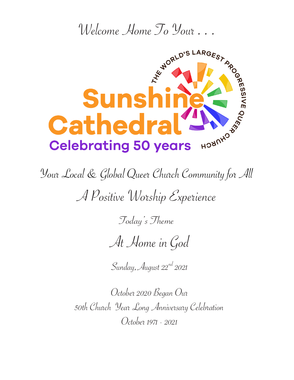

Your Local & Global Queer Church Community for All

A Positive Worship Experience

Today's Theme

At Home in God

Sunday, August 22<sup>nd</sup> 2021

October 2020 Began Our 50th Church Year Long Anniversary Celebration October 1971 - 2021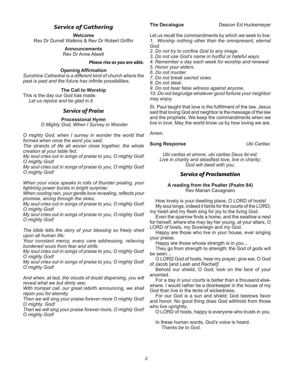# *Service of Gathering*

**Welcome**

Rev Dr Durrell Watkins & Rev Dr Robert Griffin

### **Announcements**

Rev Dr Anne Atwell

# *Please rise as you are able.*

#### **Opening Affirmation**

*Sunshine Cathedral is a different kind of church where the past is past and the future has infinite possibilities.*

### **The Call to Worship**

This is the day our God has made. *Let us rejoice and be glad in it.*

# *Service of Praise*

# **Processional Hymn**

 *O Mighty God, When I Survey in Wonder*

*O mighty God, when I survey in wonder the world that formed when once the word you said,*

*The strands of life all woven close together, the whole creation at your table fed.*

*My soul cries out in songs of praise to you, O mighty God! O mighty God!*

*My soul cries out in songs of praise to you, O mighty God! O mighty God!*

*When your voice speaks in rolls of thunder pealing, your lightning power bursts in bright surprise;*

*When cooling rain, your gentle love revealing, reflects your promise, arcing through the skies,*

*My soul cries out in songs of praise to you, O mighty God! O mighty God!*

*My soul cries out in songs of praise to you, O mighty God! O mighty God!*

*The bible tells the story of your blessing so freely shed upon all human life;*

*Your constant mercy, every care addressing, relieving burdened souls from fear and strife.*

*My soul cries out in songs of praise to you, O mighty God! O mighty God!*

*My soul cries out in songs of praise to you, O mighty God! O mighty God!*

*And when, at last, the clouds of doubt dispersing, you will reveal what we but dimly see;*

*With trumpet call, our great rebirth announcing, we shall rejoin you for eternity.*

*Then we will sing your praise forever more O mighty God! O mighty. God!*

*Then we will sing your praise forever more, O mighty God! O mighty God!*

**The Decalogue** Deacon Ed Huckemeyer

Let us recall the commandments by which we seek to live: *1. Worship nothing other than the omnipresent, eternal God.*

- *2. Do not try to confine God to any image.*
- *3. Do not use God's name in hurtful or hateful ways.*

*4. Remember a day each week for worship and renewal.*

*5. Honor your elders.*

*6. Do not murder.*

*7. Do not break sacred vows.*

*8. Do not steal.*

*9. Do not bear false witness against anyone.* 

*10. Do not begrudge whatever good fortune your neighbor may enjoy.*

St. Paul taught that love is the fulfillment of the law. Jesus said that loving God and neighbor is the message of the law and the prophets. We keep the commandments when we live in love. May the world know us by how loving we are.

*Amen.* 

### **Sung Response** *Ubi Caritas*

*Ubi caritas et amore, ubi caritas Deus ibi est. Live in charity and steadfast love, live in charity; God will dwell with you.*

# *Service of Proclamation*

#### **A reading from the Psalter (Psalm 84)**  Rev Marian Cavagnaro

How lovely is your dwelling place, O LORD of hosts! My soul longs, indeed it faints for the courts of the LORD;

my heart and my flesh sing for joy to the living God. Even the sparrow finds a home, and the swallow a nest for herself, where she may lay her young, at your altars, O

LORD of hosts, my Sovereign and my God. Happy are those who live in your house, ever singing your praise.

Happy are those whose strength is in you...

They go from strength to strength; the God of gods will be seen…

O LORD God of hosts, hear my prayer; give ear, O God of Jacob [and Leah and Rachel]!

Behold our shield, O God; look on the face of your anointed.

For a day in your courts is better than a thousand elsewhere. I would rather be a doorkeeper in the house of my God than live in the tents of wickedness.

For our God is a sun and shield; God bestows favor and honor. No good thing does God withhold from those who live uprightly.

O LORD of hosts, happy is everyone who trusts in you.

| In these human words, God's voice is heard. |
|---------------------------------------------|
| Thanks be to God.                           |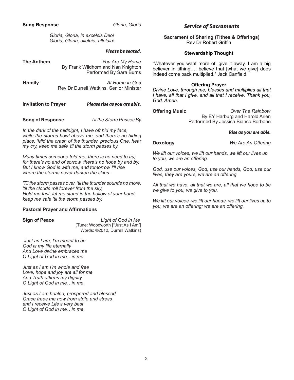*Gloria, Gloria, in excelsis Deo! Gloria, Gloria, alleluia, alleluia!*

#### *Please be seated.*

| Invitation to Prayer | Please rise as you are able.                                                     |
|----------------------|----------------------------------------------------------------------------------|
| <b>Homily</b>        | At Home in God<br>Rev Dr Durrell Watkins, Senior Minister                        |
| The Anthem           | You Are My Home<br>By Frank Wildhorn and Nan Knighton<br>Performed By Sara Burns |

#### **Song of Response** *Til the Storm Passes By*

*In the dark of the midnight, I have oft hid my face, while the storms howl above me, and there's no hiding place; 'Mid the crash of the thunder, precious One, hear my cry, keep me safe 'til the storm passes by.*

*Many times someone told me, there is no need to try, for there's no end of sorrow, there's no hope by and by. But I know God is with me, and tomorrow I'll rise where the storms never darken the skies.*

*'Til the storm passes over, 'til the thunder sounds no more, 'til the clouds roll forever from the sky, Hold me fast, let me stand in the hollow of your hand; keep me safe 'til the storm passes by.*

#### **Pastoral Prayer and Affirmations**

**Sign of Peace** *Light of God in Me*  (Tune: Woodworth ["Just As I Am"] Words: ©2012, Durrell Watkins)

 *Just as I am, I'm meant to be God is my life eternally And Love divine embraces me O Light of God in me…in me.*

*Just as I am I'm whole and free Love, hope and joy are all for me And Truth affirms my dignity O Light of God in me…in me.*

*Just as I am healed, prospered and blessed Grace frees me now from strife and stress and I receive Life's very best O Light of God in me…in me.*

# *Service of Sacraments*

**Sacrament of Sharing (Tithes & Offerings)** Rev Dr Robert Griffin

#### **Stewardship Thought**

"Whatever you want more of, give it away. I am a big believer in tithing…I believe that [what we give] does indeed come back multiplied." Jack Canfield

#### **Offering Prayer**

*Divine Love, through me, blesses and multiplies all that I have, all that I give, and all that I receive. Thank you, God. Amen.*

**Offering Music** *Over The Rainbow* By EY Harburg and Harold Arlen Performed By Jessica Bianco Borbone

#### *Rise as you are able.*

**Doxology** *We Are An Offering*

*We lift our voices, we lift our hands, we lift our lives up to you, we are an offering.*

*God, use our voices, God, use our hands, God, use our lives, they are yours, we are an offering.*

*All that we have, all that we are, all that we hope to be we give to you, we give to you.*

*We lift our voices, we lift our hands, we lift our lives up to you, we are an offering; we are an offering.*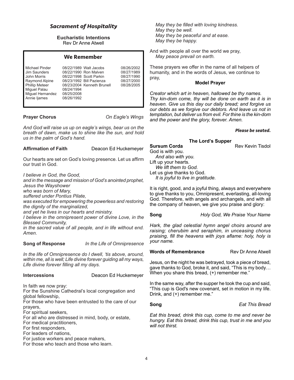# *Sacrament of Hospitality*

#### **Eucharistic Intentions** Rev Dr Anne Atwell

### **We Remember**

| Michael Pinder<br>Jim Saunders<br>John Morris<br>Raymond Alpine<br><b>Phillip Meteer</b><br>Miquel Palau<br>Miguel Hernandez<br>Annie ljames | 08/24/1994<br>08/25/2008<br>08/26/1992 | 08/22/1989 Walt Jacobs<br>08/22/1990 Ron Malven<br>08/22/1998 Scott Parkin<br>08/23/1992 Bill Pazienza<br>08/23/2004 Kenneth Brunell | 08/26/2002<br>08/27/1989<br>08/27/1990<br>08/27/2000<br>08/28/2005 |
|----------------------------------------------------------------------------------------------------------------------------------------------|----------------------------------------|--------------------------------------------------------------------------------------------------------------------------------------|--------------------------------------------------------------------|
|                                                                                                                                              |                                        |                                                                                                                                      |                                                                    |

**Prayer Chorus** *On Eagle's Wings* 

*And God will raise us up on eagle's wings, bear us on the breath of dawn, make us to shine like the sun, and hold us in the palm of God's hand.*

**Affirmation of Faith** Deacon Ed Huckemeyer

Our hearts are set on God's loving presence. Let us affirm our trust in God.

*I believe in God, the Good,*

*and in the message and mission of God's anointed prophet, Jesus the Wayshower*

*who was born of Mary,* 

*suffered under Pontius Pilate,*

*was executed for empowering the powerless and restoring the dignity of the marginalized,*

*and yet he lives in our hearts and ministry.*

*I believe in the omnipresent power of divine Love, in the Blessed Community,*

*in the sacred value of all people, and in life without end. Amen.*

**Song of Response** *In the Life of Omnipresence*

*In the life of Omnipresence do I dwell, 'tis above, around, within me, all is well; Life divine forever guiding all my ways, Life divine forever filling all my days.*

**Intercessions** Deacon Ed Huckemeyer

In faith we now pray:

For the Sunshine Cathedral's local congregation and global fellowship,

For those who have been entrusted to the care of our prayers,

For spiritual seekers,

For all who are distressed in mind, body, or estate,

For medical practitioners,

For first responders,

For leaders of nations,

For iustice workers and peace makers,

For those who teach and those who learn.

*May they be filled with loving kindness. May they be well. May they be peaceful and at ease. May they be happy.*

And with people all over the world we pray, *May peace prevail on earth.*

These prayers we offer in the name of all helpers of humanity, and in the words of Jesus, we continue to pray,

#### **Model Prayer**

*Creator which art in heaven, hallowed be thy names. Thy kin-dom come, thy will be done on earth as it is in heaven. Give us this day our daily bread; and forgive us our debts as we forgive our debtors. And leave us not in temptation, but deliver us from evil. For thine is the kin-dom and the power and the glory, forever. Amen.*

#### *Please be seated.*

### **The Lord's Supper**

**Sursum Corda Rev** Kevin Tisdol

God is with you. *And also with you.* Lift up your hearts. *We lift them to God.*

Let us give thanks to God.

*It is joyful to live in gratitude.*

It is right, good, and a joyful thing, always and everywhere to give thanks to you, Omnipresent, everlasting, all-loving God. Therefore, with angels and archangels, and with all the company of heaven, we give you praise and glory:

#### **Song** *Holy God, We Praise Your Name*

*Hark, the glad celestial hymn angel choirs around are raising; cherubim and seraphim, in unceasing chorus praising, fill the heavens with joys aflame: holy, holy is your name.*

#### **Words of Remembrance** Rev Dr Anne Atwell

Jesus, on the night he was betrayed, took a piece of bread, gave thanks to God, broke it, and said, "This is my body… When you share this bread,  $(+)$  remember me."

In the same way, after the supper he took the cup and said, "This cup is God's new covenant, set in motion in my life. Drink, and (+) remember me."

### **Song** *Eat This Bread*

*Eat this bread, drink this cup, come to me and never be hungry. Eat this bread, drink this cup, trust in me and you will not thirst.*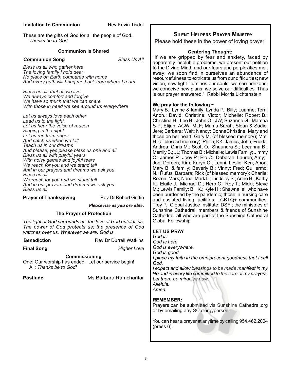#### **Invitation to Communion Rev Kevin Tisdol**

These are the gifts of God for all the people of God. *Thanks be to God.*

#### **Communion is Shared**

#### **Communion Song** *Bless Us All*

*Bless us all who gather here The loving family I hold dear No place on Earth compares with home And every path will bring me back from where I roam*

*Bless us all, that as we live We always comfort and forgive We have so much that we can share With those in need we see around us everywhere*

*Let us always love each other Lead us to the light Let us hear the voice of reason Singing in the night Let us run from anger And catch us when we fall Teach us in our dreams And please, yes please bless us one and all Bless us all with playful years With noisy games and joyful tears We reach for you and we stand tall And in our prayers and dreams we ask you Bless us all We reach for you and we stand tall And in our prayers and dreams we ask you Bless us all.*

#### **Prayer of Thanksgiving The Rev Dr Robert Griffin**

*Please rise as you are able.*

### **The Prayer of Protection**

*The light of God surrounds us; the love of God enfolds us. The power of God protects us; the presence of God watches over us. Wherever we are, God is.*

**Benediction Rev Dr Durrell Watkins** 

**Final Song** *Higher Love*

**Commissioning**

One: Our worship has ended. Let our service begin! All: *Thanks be to God!*

**Postlude Ms Barbara Ramcharitar** 

# **Silent Helpers Prayer Ministry**

Please hold these in the power of loving prayer:

#### **Centering Thought:**

"If we are gripped by fear and anxiety, faced by apparently insoluble problems, we present our petition to the Divine Mind, and our fears and perplexities melt away; we soon find in ourselves an abundance of resourcefulness to extricate us from our difficulties; new vision, new light illumines our souls, we see horizons, we conceive new plans, we solve our difficulties. Thus is our prayer answered." Rabbi Morris Lichtenstein

#### **We pray for the following ~**

Mary B.; Lynne & family; Lynda P.; Billy; Luanne; Terri; Anon.; David; Christine; Victor; Michelle; Robert B.; Christina H.; Lee B.; John O.; JW; Suzanne G.; Marsha S-P; Elijah; AGW; MLF; Mama Sarah; Sloan & Sadie; Jere; Barbara; Walt; Nancy; DonnaChristine; Mary and those on her heart; Gary M. (of blessed memory); Mrs. H. (of blessed memory); Philip; KK; James; John; Frieda; Andrea; Chris M.; Scott O.; Shaundra S.; Leeanna B.; Merrily B.; JL; Thomas B.; Michelle; Lewis Family; Jimmy C.; James P.; Joey P.; Elo C.; Deborah; Lauren; Amy; Joe; Doreen; Kim; Karyn C.; Lenni; Leslie; Ken; Anon; Mary B. & family; Beverly B.; Vinny; Fred; Guillermo; N.; Rufus; Barbara; Rick (of blessed memory); Charlie; Rozen; Mark; Nana; Mark L.; Lindsley S.; Anne H.; Kathy K.; Elaite J.; Michael D.; Herb C.; Roy T.; Micki; Steve M.; Lewis Family; Bill K.; Kyle H.; Shawna; all who have been burdened by the pandemic; those in nursing care and assisted living facilities; LGBTQ+ communities; Troy P.; Global Justice Institute; DSFI; the ministries of Sunshine Cathedral; members & friends of Sunshine Cathedral; all who are part of the Sunshine Cathedral Global Fellowship

#### **LET US PRAY**

*God is. God is here, God is everywhere. God is good. I* place my faith in the omnipresent goodness that I call *God. I expect and allow blessings to be made manifest in my life and in every life committed to the care of my prayers. Let there be miracles now. Alleluia. Amen.*

#### **REMEMBER:**

Prayers can be submitted via Sunshine Cathedral.org or by emailing any SC clergyperson.

You can hear a prayer at anytime by calling 954.462.2004 (press 6).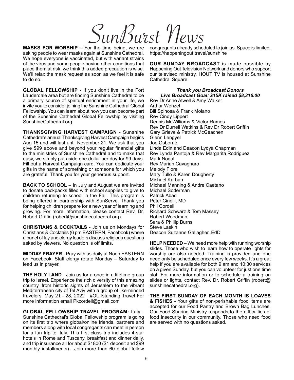SunBurst News

**MASKS FOR WORSHIP** – For the time being, we are asking people to wear masks again at Sunshine Cathedral. We hope everyone is vaccinated, but with variant strains of the virus and some people having other conditions that place them at risk, we think this added precaution is wise. We'll relax the mask request as soon as we feel it is safe to do so.

**GLOBAL FELLOWSHIP** - If you don't live in the Fort Lauderdale area but are finding Sunshine Cathedral to be a primary source of spiritual enrichment in your life, we invite you to consider joining the Sunshine Cathedral Global Fellowship. You can learn about how you can become part of the Sunshine Cathedral Global Fellowship by visiting SunshineCathedral.org

**THANKSGIVING HARVEST CAMPAIGN** - Sunshine Cathedral's annual Thanksgiving Harvest Campaign begins Aug 15 and will last until November 21. We ask that you give \$99 above and beyond your regular financial gifts to the ministries of Sunshine Cathedral and to make that easy, we simply put aside one dollar per day for 99 days. Fill out a Harvest Campaign card. You can dedicate your gifts in the name of something or someone for which you are grateful. Thank you for your generous support.

**BACK TO SCHOOL** – In July and August we are invited to donate backpacks filled with school supplies to give to children returning to school in the Fall. This program is being offered in partnership with SunServe. Thank you for helping children prepare for a new year of learning and growing. For more information, please contact Rev. Dr. Robert Griffin (robert@sunshinecathedral.org).

**CHRISTIANS & COCKTAILS** - Join us on Mondays for Christians & Cocktails (6 pm EASTERN, Facebook) where a panel of lay and clergy leaders discuss religious questions asked by viewers. No question is off limits.

**MIDDAY PRAYER** - Pray with us daily at Noon EASTERN on Facebook. Staff clergy rotate Monday – Saturday to lead us in prayer.

**THE HOLY LAND** - Join us for a once in a lifetime group trip to Israel. Experience the rich diversity of this amazing country, from historic sights of Jerusalem to the vibrant Mediterranean city of Tel Aviv with a group of like-minded travelers. May 21 - 28, 2022 #OUTstanding Travel For more information email Pkcordell@gmail.com

**GLOBAL FELLOWSHIP TRAVEL PROGRAM:** Italy - Sunshine Cathedral's Global Fellowship program is going on its first trip where global/online friends, partners and members along with local congregants can meet in person for a fun trip to Italy. This first class trip includes 4-star hotels in Rome and Tuscany, breakfast and dinner daily, and trip insurance all for about \$1800 (\$1 deposit and \$99 monthly installments). Join more than 60 global fellow

congregants already scheduled to join us. Space is limited. https://happeningout.travel/sunshine

**OUR SUNDAY BROADCAST** is made possible by Happening Out Television Network and donors who support our televised ministry. HOUT TV is housed at Sunshine Cathedral Square.

*Thank you Broadcast Donors Live Broadcast Goal: \$15K raised \$8,316.00*  Rev Dr Anne Atwell & Amy Walker Arthur Wenzel Bill Spinosa & Frank Molano Rev Cindy Lippert Dennis McWilliams & Victor Ramos Rev Dr Durrell Watkins & Rev Dr Robert Griffin Gary Grieve & Patrick McGeachen Glenn Lengyel Joe Osborne Linda Edin and Deacon Lydya Chapman Rev Lynda Pantoja & Rev Margarita Rodriguez Mark Nogal Rev Marian Cavagnaro Melody Fiore Mary Tullo & Karen Dougherty Michael Karban Michael Manning & Andre Caetano Michael Soderman Patrick Abad Peter Cinelli, MD Phil Cordell Richard Schwarz & Tom Massey Robert Woodman Sara & Phillip Burns Steve Laskin

Deacon Suzanne Gallagher, EdD

**HELP NEEDED** – We need more help with running worship slides. Those who wish to learn how to operate lights for worship are also needed. Training is provided and one need only be scheduled once every few weeks. It's a great help if you are available for both 9 am and 10:30 services on a given Sunday, but you can volunteer for just one time slot. For more information or to schedule a training on slides or lights, contact Rev. Dr. Robert Griffin (robert@) sunshinecathedral.org).

**THE FIRST SUNDAY OF EACH MONTH IS LOAVES & FISHES** - Your gifts of non-perishable food items are accepted for our Food Pantry and Brown Bag Lunches. Our Food Sharing Ministry responds to the difficulties of food insecurity in our community. Those who need food are served with no questions asked.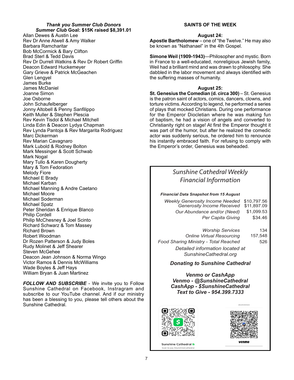#### *Thank you Summer Club Donors Summer Club* **Goal: \$15K raised \$8,391.01**

Allan Dewes & Austin Lee Rev Dr Anne Atwell & Amy Walker Barbara Ramcharitar Bob McCormick & Bary Clifton Brad Sterl & Tedd Davis Rev Dr Durrell Watkins & Rev Dr Robert Griffin Deacon Edward Huckemeyer Gary Grieve & Patrick McGeachen Glen Lengyel James Burke James McDaniel Joanne Simon Joe Osborne John Schaufelberger Jonny Altobell & Penny Sanfilippo Keith Muller & Stephen Plescia Rev Kevin Tisdol & Michael Mitchell Linda Edin & Deacon Lydya Chapman Rev Lynda Pantoja & Rev Margarita Rodriguez Marc Dickerman Rev Marian Cavagnaro Mark Lubold & Rodney Bolton Mark Messinger & Scott Schwab Mark Nogal Mary Tullo & Karen Dougherty Mary & Tom Fedoration Melody Fiore Michael E Brady Michael Karban Michael Manning & Andre Caetano Michael Moore Michael Soderman Michael Spatz Peter Sheridan & Enrique Blanco Philip Cordell Philip McChesney & Joel Scinto Richard Schwarz & Tom Massey Richard Brown Robert Woodman Dr Rozen Patterson & Judy Boles Rudy Molinet & Jeff Shearer Steven McGehee Deacon Jean Johnson & Norma Wingo Victor Ramos & Dennis McWilliams Wade Boyles & Jeff Hays William Bryan & Juan Martinez

*FOLLOW AND SUBSCRIBE* - We invite you to Follow Sunshine Cathedral on Facebook, Instragram and subscribe to our YouTube channel. And if our ministry has been a blessing to you, please tell others about the Sunshine Cathedral.

#### **SAINTS OF THE WEEK**

#### **August 24:**

**Apostle Bartholomew** – one of "the Twelve." He may also be known as "Nathanael" in the 4th Gospel.

**Simone Weil (1909-1943)**—Philosopher and mystic. Born in France to a well-educated, nonreligious Jewish family, Weil had a brilliant mind and was drawn to philosophy. She dabbled in the labor movement and always identified with the suffering masses of humanity.

#### **August 25:**

**St. Genesius the Comedian (d. circa 300)** – St. Genesius is the patron saint of actors, comics, dancers, clowns, and torture victims. According to legend, he performed a series of plays that mocked Christians. During one performance for the Emperor Diocletian where he was making fun of baptism, he had a vision of angels and converted to Christianity right on stage! At first the Emperor thought it was part of the humor, but after he realized the comedic actor was suddenly serious, he ordered him to renounce his instantly embraced faith. For refusing to comply with the Emperor's order, Genesius was beheaded.

# *Sunshine Cathedral Weekly Financial Information*

*Financial Data Snapshot from 15 August*

| <b>Weekly Generosity Income Needed</b><br>Generosity Income Received | \$10,797.56<br>\$11,897.09 |
|----------------------------------------------------------------------|----------------------------|
| Our Abundance and/or (Need)                                          | \$1,099.53                 |
| Per Capita Giving                                                    | \$34.46                    |
| <b>Worship Services</b><br><b>Online Virtual Resourcing</b>          | 134<br>157,548             |
| Food Sharing Ministry - Total Reached                                | 526                        |
| Detailed information located at<br>SunshineCathedral.org             |                            |

*Donating to Sunshine Cathedral* 

*Venmo or CashApp Venmo - @SunshineCathedral CashApp - \$SunshineCathedral Text to Give - 954.399.7333*





Sunshine Cathedral **B** Scan to pay \$SunshineCathedral